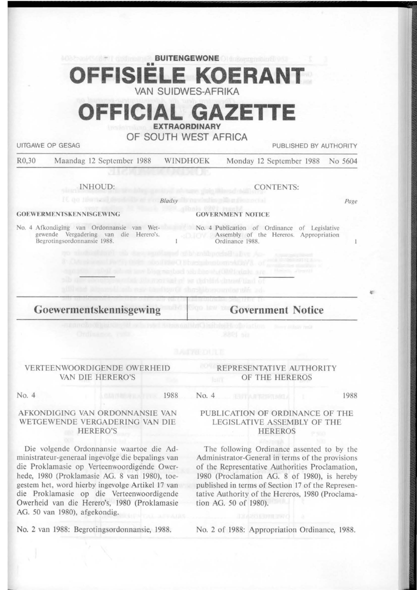## **BUITENGEWONE**  •• **OFFISIELE KOERANT VAN SUIDWES-AFRIKA**

# **OFFICIAL GAZETTE**

**EXTRAORDINARY** 

**OF SOUTH WEST AFRICA** 

UITGAWE OP GESAG PUBLISHED BY AUTHORITY

R0,30 Maandag 12 September 1988 WINDHOEK Monday 12 September 1988 No 5604

*8/adsy* 

INHOUD:

CONTENTS:

Page

'

#### **GOEWERMENTSKENNISGEWING**

No. 4 Afkondiging van Ordonnansie van Wetgewende Vergadering van die Herero's. Begrotingsordonnansic 1988.

No. 4 Publication of Ordinance of Legislative **Assembly of the Hereros. Appropriation** Ordinance 1988.

**GOVERNMENT NOTICE** 

**Goewermentskennisgewing** 

**Government Notice** 

#### VERTEENWOORDIGENDE OWERHEID VAN DIE HERERO'S

#### No. 4 1988

No. 4

mercanisel as detailed charactized of

#### AFKONDIGING VAN ORDONNANSIE VAN WETGEWENDE VERGADERING VAN DIE HERERO'S

Die volgende Ordonnansie waartoe die Administrateur-generaal ingevolge die bepalings van die Proklamasie op Verteenwoordigende Owerhede, 1980 (Proklamasie AG. 8 van 1980), toegestem het, word hierby ingevolge Artikel 17 van die Proklamasie op die Verteenwoordigende Owerheid van die Herero's, 1980 (Proklamasie AG. 50 van 1980), afgekondig.

No. 2 van 1988: Begroringsordonnansie, 1988.

#### REPRESENTATIVE AUTHORITY OF THE HEREROS

1988

#### PUBLICATION OF ORDINANCE OF THE LEGISLATIVE ASSEMBLY OF THE HEREROS

The following Ordinance assented to by the Administrator-General in terms of the provisions of the Representative Authorities Proclamation, 1980 (Proclamation AG. 8 of 1980), is hereby published in terms of Section 17 of the Representative Authority of the Hereros, 1980 (Proclamation AG. *50* of 1980).

No. 2 of 1988: Appropriation Ordinance, 1988.